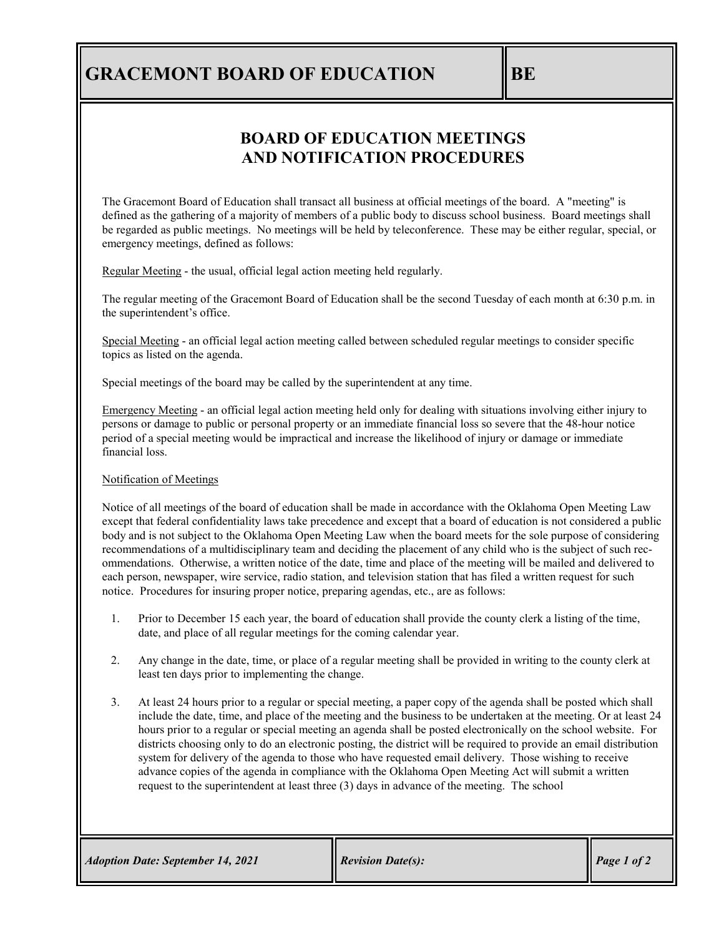# **GRACEMONT BOARD OF EDUCATION BE**

### **BOARD OF EDUCATION MEETINGS AND NOTIFICATION PROCEDURES**

The Gracemont Board of Education shall transact all business at official meetings of the board. A "meeting" is defined as the gathering of a majority of members of a public body to discuss school business. Board meetings shall be regarded as public meetings. No meetings will be held by teleconference. These may be either regular, special, or emergency meetings, defined as follows:

Regular Meeting - the usual, official legal action meeting held regularly.

The regular meeting of the Gracemont Board of Education shall be the second Tuesday of each month at 6:30 p.m. in the superintendent's office.

Special Meeting - an official legal action meeting called between scheduled regular meetings to consider specific topics as listed on the agenda.

Special meetings of the board may be called by the superintendent at any time.

Emergency Meeting - an official legal action meeting held only for dealing with situations involving either injury to persons or damage to public or personal property or an immediate financial loss so severe that the 48-hour notice period of a special meeting would be impractical and increase the likelihood of injury or damage or immediate financial loss.

#### Notification of Meetings

Notice of all meetings of the board of education shall be made in accordance with the Oklahoma Open Meeting Law except that federal confidentiality laws take precedence and except that a board of education is not considered a public body and is not subject to the Oklahoma Open Meeting Law when the board meets for the sole purpose of considering recommendations of a multidisciplinary team and deciding the placement of any child who is the subject of such recommendations. Otherwise, a written notice of the date, time and place of the meeting will be mailed and delivered to each person, newspaper, wire service, radio station, and television station that has filed a written request for such notice. Procedures for insuring proper notice, preparing agendas, etc., are as follows:

- 1. Prior to December 15 each year, the board of education shall provide the county clerk a listing of the time, date, and place of all regular meetings for the coming calendar year.
- 2. Any change in the date, time, or place of a regular meeting shall be provided in writing to the county clerk at least ten days prior to implementing the change.
- 3. At least 24 hours prior to a regular or special meeting, a paper copy of the agenda shall be posted which shall include the date, time, and place of the meeting and the business to be undertaken at the meeting. Or at least 24 hours prior to a regular or special meeting an agenda shall be posted electronically on the school website. For districts choosing only to do an electronic posting, the district will be required to provide an email distribution system for delivery of the agenda to those who have requested email delivery. Those wishing to receive advance copies of the agenda in compliance with the Oklahoma Open Meeting Act will submit a written request to the superintendent at least three (3) days in advance of the meeting. The school